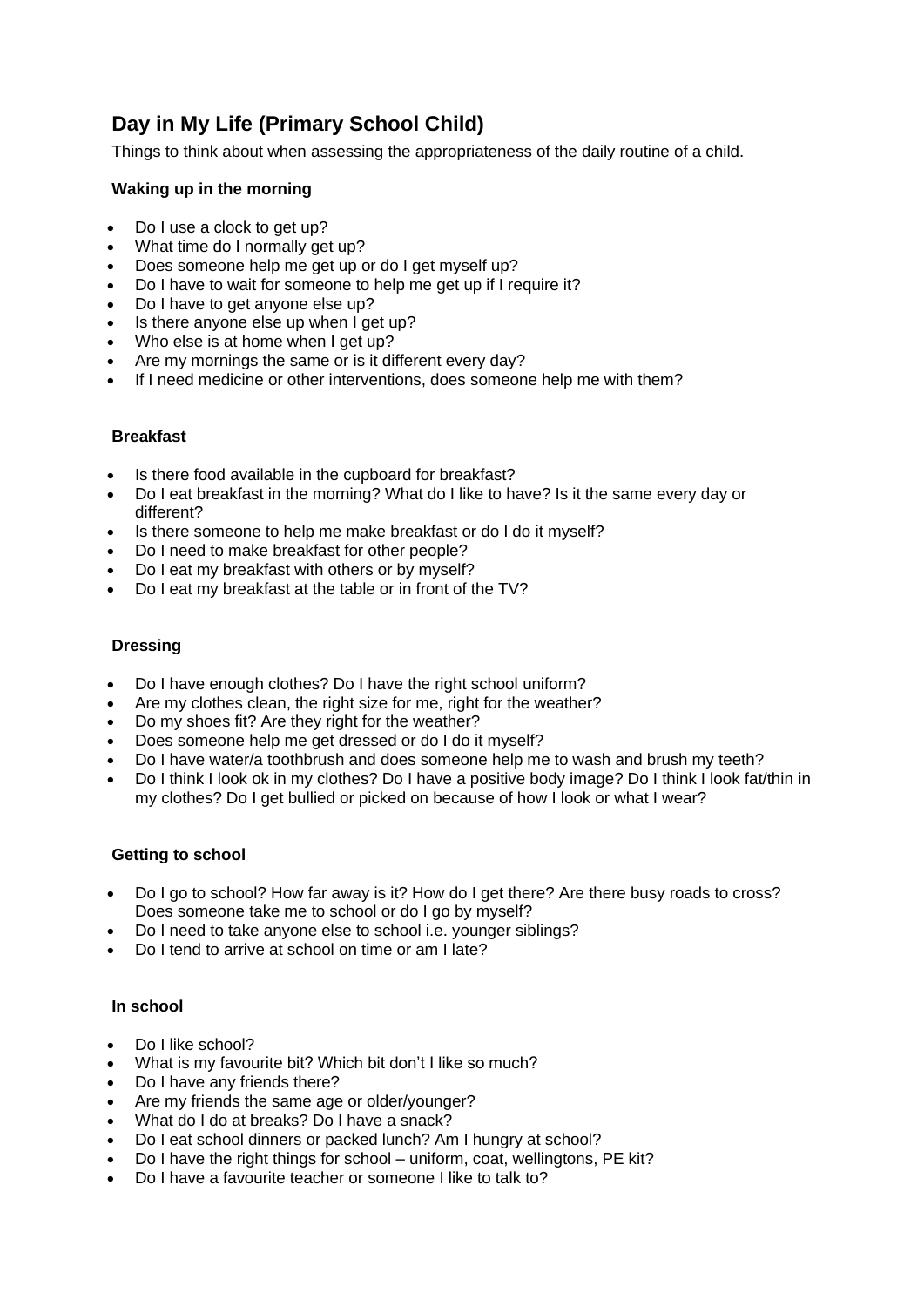# **Day in My Life (Primary School Child)**

Things to think about when assessing the appropriateness of the daily routine of a child.

# **Waking up in the morning**

- Do I use a clock to get up?
- What time do I normally get up?
- Does someone help me get up or do I get myself up?
- Do I have to wait for someone to help me get up if I require it?
- Do I have to get anyone else up?
- Is there anyone else up when I get up?
- Who else is at home when I get up?
- Are my mornings the same or is it different every day?
- If I need medicine or other interventions, does someone help me with them?

### **Breakfast**

- Is there food available in the cupboard for breakfast?
- Do I eat breakfast in the morning? What do I like to have? Is it the same every day or different?
- Is there someone to help me make breakfast or do I do it myself?
- Do I need to make breakfast for other people?
- Do I eat my breakfast with others or by myself?
- Do I eat my breakfast at the table or in front of the TV?

## **Dressing**

- Do I have enough clothes? Do I have the right school uniform?
- Are my clothes clean, the right size for me, right for the weather?
- Do my shoes fit? Are they right for the weather?
- Does someone help me get dressed or do I do it myself?
- Do I have water/a toothbrush and does someone help me to wash and brush my teeth?
- Do I think I look ok in my clothes? Do I have a positive body image? Do I think I look fat/thin in my clothes? Do I get bullied or picked on because of how I look or what I wear?

### **Getting to school**

- Do I go to school? How far away is it? How do I get there? Are there busy roads to cross? Does someone take me to school or do I go by myself?
- Do I need to take anyone else to school i.e. younger siblings?
- Do I tend to arrive at school on time or am I late?

### **In school**

- Do I like school?
- What is my favourite bit? Which bit don't I like so much?
- Do I have any friends there?
- Are my friends the same age or older/younger?
- What do I do at breaks? Do I have a snack?
- Do I eat school dinners or packed lunch? Am I hungry at school?
- Do I have the right things for school uniform, coat, wellingtons, PE kit?
- Do I have a favourite teacher or someone I like to talk to?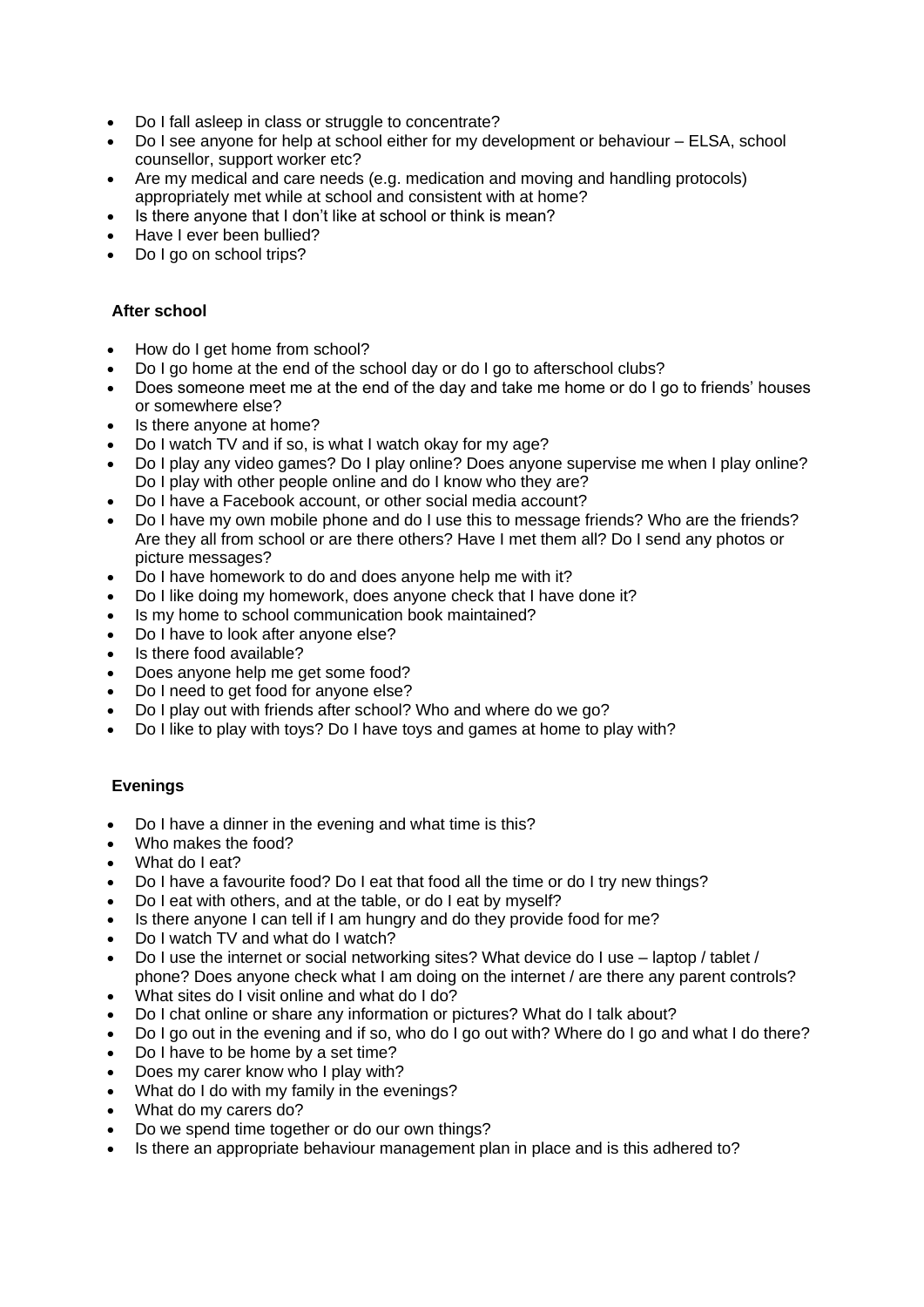- Do I fall asleep in class or struggle to concentrate?
- Do I see anyone for help at school either for my development or behaviour ELSA, school counsellor, support worker etc?
- Are my medical and care needs (e.g. medication and moving and handling protocols) appropriately met while at school and consistent with at home?
- Is there anyone that I don't like at school or think is mean?
- Have I ever been bullied?
- Do I go on school trips?

# **After school**

- How do I get home from school?
- Do I go home at the end of the school day or do I go to afterschool clubs?
- Does someone meet me at the end of the day and take me home or do I go to friends' houses or somewhere else?
- Is there anyone at home?
- Do I watch TV and if so, is what I watch okay for my age?
- Do I play any video games? Do I play online? Does anyone supervise me when I play online? Do I play with other people online and do I know who they are?
- Do I have a Facebook account, or other social media account?
- Do I have my own mobile phone and do I use this to message friends? Who are the friends? Are they all from school or are there others? Have I met them all? Do I send any photos or picture messages?
- Do I have homework to do and does anyone help me with it?
- Do I like doing my homework, does anyone check that I have done it?
- Is my home to school communication book maintained?
- Do I have to look after anyone else?
- Is there food available?
- Does anyone help me get some food?
- Do I need to get food for anyone else?
- Do I play out with friends after school? Who and where do we go?
- Do I like to play with toys? Do I have toys and games at home to play with?

# **Evenings**

- Do I have a dinner in the evening and what time is this?
- Who makes the food?
- What do I eat?
- Do I have a favourite food? Do I eat that food all the time or do I try new things?
- Do I eat with others, and at the table, or do I eat by myself?
- Is there anyone I can tell if I am hungry and do they provide food for me?
- Do I watch TV and what do I watch?
- Do I use the internet or social networking sites? What device do I use laptop / tablet / phone? Does anyone check what I am doing on the internet / are there any parent controls?
- What sites do I visit online and what do I do?
- Do I chat online or share any information or pictures? What do I talk about?
- Do I go out in the evening and if so, who do I go out with? Where do I go and what I do there?
- Do I have to be home by a set time?
- Does my carer know who I play with?
- What do I do with my family in the evenings?
- What do my carers do?
- Do we spend time together or do our own things?
- Is there an appropriate behaviour management plan in place and is this adhered to?